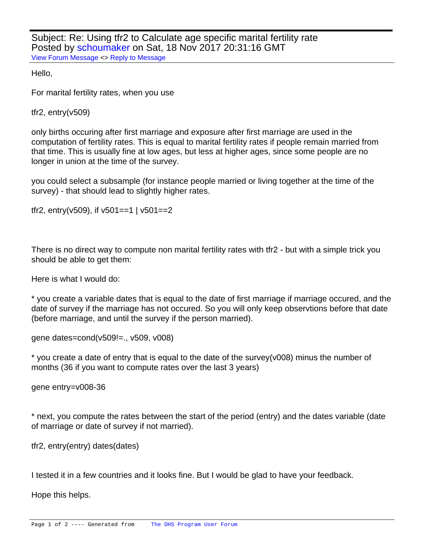Subject: Re: Using tfr2 to Calculate age specific marital fertility rate Posted by [schoumaker](https://userforum.dhsprogram.com/index.php?t=usrinfo&id=1145) on Sat, 18 Nov 2017 20:31:16 GMT [View Forum Message](https://userforum.dhsprogram.com/index.php?t=rview&th=6540&goto=13559#msg_13559) <> [Reply to Message](https://userforum.dhsprogram.com/index.php?t=post&reply_to=13559)

Hello,

For marital fertility rates, when you use

tfr2, entry(v509)

only births occuring after first marriage and exposure after first marriage are used in the computation of fertility rates. This is equal to marital fertility rates if people remain married from that time. This is usually fine at low ages, but less at higher ages, since some people are no longer in union at the time of the survey.

you could select a subsample (for instance people married or living together at the time of the survey) - that should lead to slightly higher rates.

tfr2, entry( $v$ 509), if  $v$ 501==1 |  $v$ 501==2

There is no direct way to compute non marital fertility rates with tfr2 - but with a simple trick you should be able to get them:

Here is what I would do:

\* you create a variable dates that is equal to the date of first marriage if marriage occured, and the date of survey if the marriage has not occured. So you will only keep observtions before that date (before marriage, and until the survey if the person married).

gene dates=cond(v509!=., v509, v008)

\* you create a date of entry that is equal to the date of the survey(v008) minus the number of months (36 if you want to compute rates over the last 3 years)

gene entry=v008-36

\* next, you compute the rates between the start of the period (entry) and the dates variable (date of marriage or date of survey if not married).

tfr2, entry(entry) dates(dates)

I tested it in a few countries and it looks fine. But I would be glad to have your feedback.

Hope this helps.